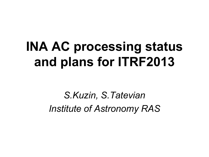## **INA AC processing status and plans for ITRF2013**

*S.Kuzin, S.Tatevian Institute of Astronomy RAS*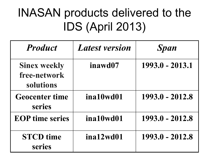## INASAN products delivered to the IDS (April 2013)

| <b>Product</b>                                   | <b>Latest version</b> | <b>Span</b>     |
|--------------------------------------------------|-----------------------|-----------------|
| <b>Sinex weekly</b><br>free-network<br>solutions | inawd07               | 1993.0 - 2013.1 |
| <b>Geocenter time</b><br>series                  | ina10wd01             | 1993.0 - 2012.8 |
| <b>EOP</b> time series                           | ina10wd01             | 1993.0 - 2012.8 |
| <b>STCD</b> time<br>series                       | ina12wd01             | 1993.0 - 2012.8 |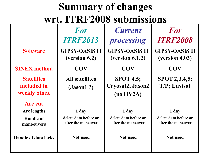## **Summary of changes wrt. ITRF2008 submissions**

|                                                                                                       | For<br><b>ITRF2013</b>                                                  | <b>Current</b><br>processing                                            | For<br><b>ITRF2008</b>                                                  |
|-------------------------------------------------------------------------------------------------------|-------------------------------------------------------------------------|-------------------------------------------------------------------------|-------------------------------------------------------------------------|
| <b>Software</b>                                                                                       | <b>GIPSY-OASIS II</b><br>(version 6.2)                                  | <b>GIPSY-OASIS II</b><br>(yersion 6.1.2)                                | <b>GIPSY-OASIS II</b><br>(version 4.03)                                 |
| <b>SINEX method</b>                                                                                   | <b>COV</b>                                                              | <b>COV</b>                                                              | <b>COV</b>                                                              |
| <b>Satellites</b><br>included in<br><b>weekly Sinex</b>                                               | <b>All satellites</b><br>(Jason1?)                                      | <b>SPOT 4,5;</b><br>Cryosat2, Jason2<br>(no HY2A)                       | <b>SPOT 2,3,4,5;</b><br>T/P; Envisat                                    |
| <b>Arc</b> cut<br><b>Arc</b> lengths<br><b>Handle of</b><br>manoeuvers<br><b>Handle of data lacks</b> | 1 day<br>delete data before or<br>after the maneuver<br><b>Not</b> used | 1 day<br>delete data before or<br>after the maneuver<br><b>Not</b> used | 1 day<br>delete data before or<br>after the maneuver<br><b>Not</b> used |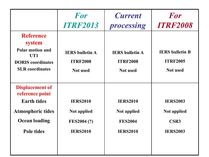|                                                                                                                                          | For<br><b>ITRF2013</b>                                                         | <b>Current</b><br>processing                                               | For<br><b>ITRF2008</b>                                                  |
|------------------------------------------------------------------------------------------------------------------------------------------|--------------------------------------------------------------------------------|----------------------------------------------------------------------------|-------------------------------------------------------------------------|
| <b>Reference</b><br>system<br><b>Polar motion and</b><br>UT1<br><b>DORIS</b> coordinates<br><b>SLR</b> coordinates                       | <b>IERS</b> bulletin A<br><b>ITRF2008</b><br><b>Not</b> used                   | <b>IERS</b> bulletin A<br><b>ITRF2008</b><br><b>Not</b> used               | <b>IERS</b> bulletin <b>B</b><br><b>ITRF2005</b><br>Not used            |
| <b>Displacement of</b><br>reference point<br><b>Earth tides</b><br><b>Atmospheric tides</b><br><b>Ocean loading</b><br><b>Pole tides</b> | <b>IERS2010</b><br><b>Not applied</b><br><b>FES2004 (?)</b><br><b>IERS2010</b> | <b>IERS2010</b><br><b>Not applied</b><br><b>FES2004</b><br><b>IERS2010</b> | <b>IERS2003</b><br><b>Not applied</b><br><b>CSR3</b><br><b>IERS2003</b> |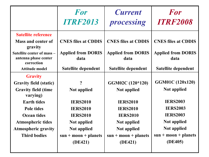|                                        | <b>For</b><br><b>ITRF2013</b> | <b>Current</b><br>processing | For<br><b>ITRF2008</b>     |
|----------------------------------------|-------------------------------|------------------------------|----------------------------|
| <b>Satellite reference</b>             |                               |                              |                            |
| <b>Mass and center of</b><br>gravity   | <b>CNES files at CDDIS</b>    | <b>CNES files at CDDIS</b>   | <b>CNES files at CDDIS</b> |
| Satellite center of mass -             | <b>Applied from DORIS</b>     | <b>Applied from DORIS</b>    | <b>Applied from DORIS</b>  |
| antenna phase center<br>correction     | data                          | data                         | data                       |
| <b>Attitude model</b>                  | Satellite dependent           | <b>Satellite dependent</b>   | Satellite dependent        |
| <b>Gravity</b>                         |                               |                              |                            |
| <b>Gravity field (static)</b>          | $\boldsymbol{v}$              | GGM02C (120*120)             | GGM01C (120x120)           |
| <b>Gravity field (time</b><br>varying) | <b>Not applied</b>            | <b>Not applied</b>           | <b>Not applied</b>         |
| <b>Earth tides</b>                     | <b>IERS2010</b>               | <b>IERS2010</b>              | <b>IERS2003</b>            |
| <b>Pole tides</b>                      | <b>IERS2010</b>               | <b>IERS2010</b>              | <b>IERS2003</b>            |
| <b>Ocean tides</b>                     | <b>IERS2010</b>               | <b>IERS2010</b>              | <b>IERS2003</b>            |
| <b>Atmospheric tides</b>               | <b>Not applied</b>            | <b>Not applied</b>           | <b>Not applied</b>         |
| <b>Atmospheric gravity</b>             | Not applied                   | <b>Not applied</b>           | <b>Not applied</b>         |
| <b>Third bodies</b>                    | $sun + moon + planets$        | $sun + moon + planets$       | $sun + moon + planets$     |
|                                        | (DE421)                       | (DE421)                      | (DE405)                    |
|                                        |                               |                              |                            |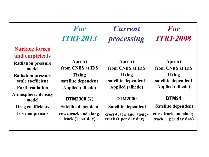|                                                                                                                                                                                                                                                  | For                                                                                                                                                                          | <b>Current</b>                                                                                                                                                                             | For                                                                                                                                                                 |
|--------------------------------------------------------------------------------------------------------------------------------------------------------------------------------------------------------------------------------------------------|------------------------------------------------------------------------------------------------------------------------------------------------------------------------------|--------------------------------------------------------------------------------------------------------------------------------------------------------------------------------------------|---------------------------------------------------------------------------------------------------------------------------------------------------------------------|
|                                                                                                                                                                                                                                                  | <b>ITRF2013</b>                                                                                                                                                              | processing                                                                                                                                                                                 | <b>ITRF2008</b>                                                                                                                                                     |
| <b>Surface forces</b><br>and empiricals<br><b>Radiation pressure</b><br>model<br><b>Radiation pressure</b><br>scale coefficient<br><b>Earth radiation</b><br><b>Atmospheric density</b><br>model<br><b>Drag coefficients</b><br>1/rev empiricals | Apriori<br>from CNES at IDS<br><b>Fixing</b><br>satellite dependent<br>Applied (albedo)<br>DTM2000 (?)<br>Satellite dependent<br>cross-track and along-<br>track (1 per day) | Apriori<br>from CNES at IDS<br><b>Fixing</b><br>satellite dependent<br>Applied (albedo)<br><b>DTM2000</b><br><b>Satellite dependent</b><br>cross-track and along-<br>track (1 per day day) | Apriori<br>from CNES at IDS<br>Fixing<br>satellite dependent<br>Applied (albedo)<br>DTM94<br>Satellite dependent<br>cross-track and along-<br>track (1 per day day) |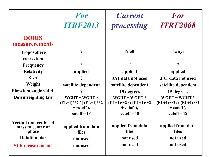|                                                     | <b>For</b><br><b>ITRF2013</b>                                                | <b>Current</b><br>processing                                                 | For<br><b>ITRF2008</b>                                                       |
|-----------------------------------------------------|------------------------------------------------------------------------------|------------------------------------------------------------------------------|------------------------------------------------------------------------------|
| <b>DORIS</b><br>measurerements                      |                                                                              |                                                                              |                                                                              |
| <b>Troposphere</b><br>correction                    | $\boldsymbol{\mathcal{P}}$                                                   | <b>Niell</b>                                                                 | Lanyi                                                                        |
| <b>Frequency</b>                                    | $\boldsymbol{v}$                                                             | $\overline{?}$                                                               | $\boldsymbol{\mathsf{P}}$                                                    |
| <b>Relativity</b>                                   | applied                                                                      | applied                                                                      | applied                                                                      |
| <b>SAA</b>                                          | ?                                                                            | JA1 data not used                                                            | JA1 data not used                                                            |
| Weight                                              | satellite dependent                                                          | satellite dependent                                                          | satellite dependent                                                          |
| <b>Elevation angle cutoff</b>                       |                                                                              | 15 degrees                                                                   | 15 degrees                                                                   |
| Downweighting law                                   | $WGHT = WGHT *$<br>$(EL+1)**2 / ((EL+1)**2$<br>$+$ cutoff),<br>cutoff = $18$ | $WGHT = WGHT *$<br>$(EL+1)**2 / ((EL+1)**2$<br>$+$ cutoff),<br>$cutoff = 18$ | $WGHT = WGHT *$<br>$(EL+1)**2 / ((EL+1)**2$<br>$+$ cutoff),<br>$cutoff = 18$ |
| Vector from center of<br>mass to center of<br>phase | applied from data<br>files                                                   | applied from data<br><b>files</b>                                            | applied from data<br>files                                                   |
| <b>Datation bias</b>                                | not used                                                                     | not used                                                                     | not used                                                                     |
| <b>SLR</b> measurements                             | not used                                                                     | not used                                                                     | not used                                                                     |